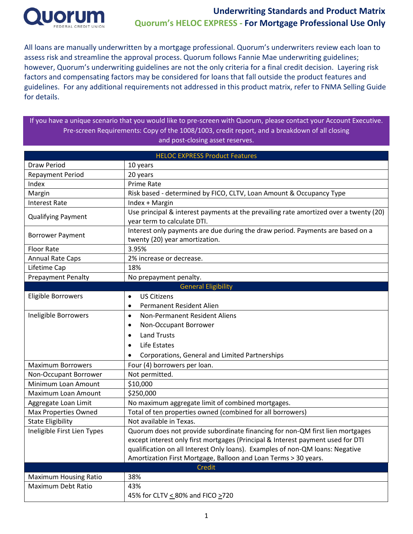

All loans are manually underwritten by a mortgage professional. Quorum's underwriters review each loan to assess risk and streamline the approval process. Quorum follows Fannie Mae underwriting guidelines; however, Quorum's underwriting guidelines are not the only criteria for a final credit decision. Layering risk factors and compensating factors may be considered for loans that fall outside the product features and guidelines. For any additional requirements not addressed in this product matrix, refer to FNMA Selling Guide for details.

If you have a unique scenario that you would like to pre-screen with Quorum, please contact your Account Executive. Pre-screen Requirements: Copy of the 1008/1003, credit report, and a breakdown of all closing and post-closing asset reserves.

| <b>HELOC EXPRESS Product Features</b>                              |                                                                                       |  |  |  |  |  |
|--------------------------------------------------------------------|---------------------------------------------------------------------------------------|--|--|--|--|--|
| Draw Period                                                        | 10 years                                                                              |  |  |  |  |  |
| <b>Repayment Period</b>                                            | 20 years                                                                              |  |  |  |  |  |
| Index                                                              | <b>Prime Rate</b>                                                                     |  |  |  |  |  |
| Margin                                                             | Risk based - determined by FICO, CLTV, Loan Amount & Occupancy Type                   |  |  |  |  |  |
| <b>Interest Rate</b>                                               | Index + Margin                                                                        |  |  |  |  |  |
| <b>Qualifying Payment</b>                                          | Use principal & interest payments at the prevailing rate amortized over a twenty (20) |  |  |  |  |  |
|                                                                    | year term to calculate DTI.                                                           |  |  |  |  |  |
| <b>Borrower Payment</b>                                            | Interest only payments are due during the draw period. Payments are based on a        |  |  |  |  |  |
|                                                                    | twenty (20) year amortization.                                                        |  |  |  |  |  |
| <b>Floor Rate</b>                                                  | 3.95%                                                                                 |  |  |  |  |  |
| <b>Annual Rate Caps</b>                                            | 2% increase or decrease.                                                              |  |  |  |  |  |
| Lifetime Cap                                                       | 18%                                                                                   |  |  |  |  |  |
| <b>Prepayment Penalty</b>                                          | No prepayment penalty.                                                                |  |  |  |  |  |
|                                                                    | <b>General Eligibility</b>                                                            |  |  |  |  |  |
| Eligible Borrowers                                                 | <b>US Citizens</b><br>$\bullet$                                                       |  |  |  |  |  |
|                                                                    | Permanent Resident Alien<br>$\bullet$                                                 |  |  |  |  |  |
| Ineligible Borrowers<br>Non-Permanent Resident Aliens<br>$\bullet$ |                                                                                       |  |  |  |  |  |
|                                                                    | Non-Occupant Borrower<br>$\bullet$                                                    |  |  |  |  |  |
|                                                                    | <b>Land Trusts</b><br>$\bullet$                                                       |  |  |  |  |  |
|                                                                    | Life Estates<br>$\bullet$                                                             |  |  |  |  |  |
|                                                                    | Corporations, General and Limited Partnerships                                        |  |  |  |  |  |
| <b>Maximum Borrowers</b>                                           | Four (4) borrowers per loan.                                                          |  |  |  |  |  |
| Non-Occupant Borrower                                              | Not permitted.                                                                        |  |  |  |  |  |
| Minimum Loan Amount                                                | \$10,000                                                                              |  |  |  |  |  |
| Maximum Loan Amount                                                | \$250,000                                                                             |  |  |  |  |  |
| Aggregate Loan Limit                                               | No maximum aggregate limit of combined mortgages.                                     |  |  |  |  |  |
| <b>Max Properties Owned</b>                                        | Total of ten properties owned (combined for all borrowers)                            |  |  |  |  |  |
| <b>State Eligibility</b>                                           | Not available in Texas.                                                               |  |  |  |  |  |
| Ineligible First Lien Types                                        | Quorum does not provide subordinate financing for non-QM first lien mortgages         |  |  |  |  |  |
|                                                                    | except interest only first mortgages (Principal & Interest payment used for DTI       |  |  |  |  |  |
|                                                                    | qualification on all Interest Only loans). Examples of non-QM loans: Negative         |  |  |  |  |  |
|                                                                    | Amortization First Mortgage, Balloon and Loan Terms > 30 years.                       |  |  |  |  |  |
|                                                                    | Credit                                                                                |  |  |  |  |  |
| <b>Maximum Housing Ratio</b>                                       | 38%                                                                                   |  |  |  |  |  |
| Maximum Debt Ratio                                                 | 43%                                                                                   |  |  |  |  |  |
|                                                                    | 45% for CLTV < 80% and FICO >720                                                      |  |  |  |  |  |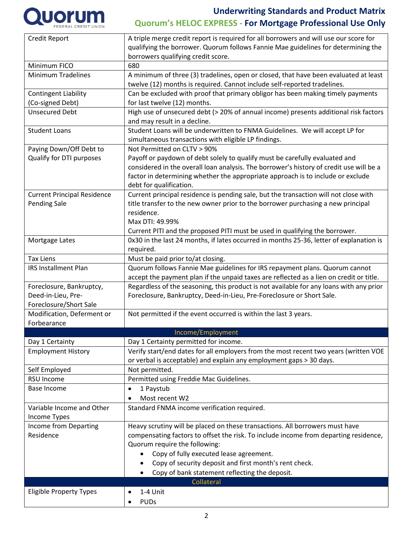

| Credit Report                      | A triple merge credit report is required for all borrowers and will use our score for   |  |  |  |  |  |
|------------------------------------|-----------------------------------------------------------------------------------------|--|--|--|--|--|
|                                    | qualifying the borrower. Quorum follows Fannie Mae guidelines for determining the       |  |  |  |  |  |
|                                    | borrowers qualifying credit score.                                                      |  |  |  |  |  |
| Minimum FICO                       | 680                                                                                     |  |  |  |  |  |
| <b>Minimum Tradelines</b>          | A minimum of three (3) tradelines, open or closed, that have been evaluated at least    |  |  |  |  |  |
|                                    | twelve (12) months is required. Cannot include self-reported tradelines.                |  |  |  |  |  |
| <b>Contingent Liability</b>        | Can be excluded with proof that primary obligor has been making timely payments         |  |  |  |  |  |
| (Co-signed Debt)                   | for last twelve (12) months.                                                            |  |  |  |  |  |
| <b>Unsecured Debt</b>              | High use of unsecured debt (> 20% of annual income) presents additional risk factors    |  |  |  |  |  |
|                                    | and may result in a decline.                                                            |  |  |  |  |  |
| <b>Student Loans</b>               | Student Loans will be underwritten to FNMA Guidelines. We will accept LP for            |  |  |  |  |  |
|                                    | simultaneous transactions with eligible LP findings.                                    |  |  |  |  |  |
| Paying Down/Off Debt to            | Not Permitted on CLTV > 90%                                                             |  |  |  |  |  |
| Qualify for DTI purposes           | Payoff or paydown of debt solely to qualify must be carefully evaluated and             |  |  |  |  |  |
|                                    | considered in the overall loan analysis. The borrower's history of credit use will be a |  |  |  |  |  |
|                                    | factor in determining whether the appropriate approach is to include or exclude         |  |  |  |  |  |
|                                    | debt for qualification.                                                                 |  |  |  |  |  |
| <b>Current Principal Residence</b> | Current principal residence is pending sale, but the transaction will not close with    |  |  |  |  |  |
| <b>Pending Sale</b>                | title transfer to the new owner prior to the borrower purchasing a new principal        |  |  |  |  |  |
|                                    | residence.                                                                              |  |  |  |  |  |
|                                    | Max DTI: 49.99%                                                                         |  |  |  |  |  |
|                                    | Current PITI and the proposed PITI must be used in qualifying the borrower.             |  |  |  |  |  |
| Mortgage Lates                     | 0x30 in the last 24 months, if lates occurred in months 25-36, letter of explanation is |  |  |  |  |  |
|                                    | required.                                                                               |  |  |  |  |  |
| <b>Tax Liens</b>                   | Must be paid prior to/at closing.                                                       |  |  |  |  |  |
| <b>IRS Installment Plan</b>        | Quorum follows Fannie Mae guidelines for IRS repayment plans. Quorum cannot             |  |  |  |  |  |
|                                    | accept the payment plan if the unpaid taxes are reflected as a lien on credit or title. |  |  |  |  |  |
| Foreclosure, Bankruptcy,           | Regardless of the seasoning, this product is not available for any loans with any prior |  |  |  |  |  |
| Deed-in-Lieu, Pre-                 | Foreclosure, Bankruptcy, Deed-in-Lieu, Pre-Foreclosure or Short Sale.                   |  |  |  |  |  |
| Foreclosure/Short Sale             |                                                                                         |  |  |  |  |  |
| Modification, Deferment or         | Not permitted if the event occurred is within the last 3 years.                         |  |  |  |  |  |
| Forbearance                        |                                                                                         |  |  |  |  |  |
|                                    | Income/Employment                                                                       |  |  |  |  |  |
| Day 1 Certainty                    | Day 1 Certainty permitted for income.                                                   |  |  |  |  |  |
| <b>Employment History</b>          | Verify start/end dates for all employers from the most recent two years (written VOE    |  |  |  |  |  |
|                                    | or verbal is acceptable) and explain any employment gaps > 30 days.                     |  |  |  |  |  |
| Self Employed                      | Not permitted.                                                                          |  |  |  |  |  |
| RSU Income                         | Permitted using Freddie Mac Guidelines.                                                 |  |  |  |  |  |
| Base Income                        | 1 Paystub<br>$\bullet$                                                                  |  |  |  |  |  |
|                                    | Most recent W2                                                                          |  |  |  |  |  |
| Variable Income and Other          | Standard FNMA income verification required.                                             |  |  |  |  |  |
| Income Types                       |                                                                                         |  |  |  |  |  |
| Income from Departing              | Heavy scrutiny will be placed on these transactions. All borrowers must have            |  |  |  |  |  |
| Residence                          | compensating factors to offset the risk. To include income from departing residence,    |  |  |  |  |  |
|                                    | Quorum require the following:                                                           |  |  |  |  |  |
|                                    | Copy of fully executed lease agreement.                                                 |  |  |  |  |  |
|                                    | Copy of security deposit and first month's rent check.                                  |  |  |  |  |  |
|                                    | Copy of bank statement reflecting the deposit.                                          |  |  |  |  |  |
|                                    | Collateral                                                                              |  |  |  |  |  |
| <b>Eligible Property Types</b>     | 1-4 Unit                                                                                |  |  |  |  |  |
|                                    | <b>PUDs</b>                                                                             |  |  |  |  |  |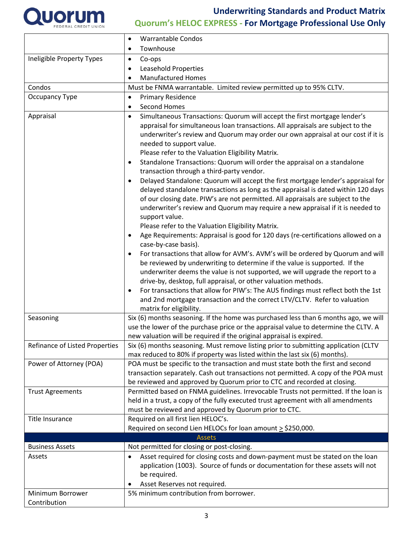

|                                | <b>Warrantable Condos</b>                                                                                                                                                                                                                                                                                                                                                                                                                                                                                                                                                                                                                                                                                                                                                                                                                                                                                                                                                                                                                                                                                                                                                                                                                                                                                                                                                                                                                                                                                                |  |  |  |  |  |
|--------------------------------|--------------------------------------------------------------------------------------------------------------------------------------------------------------------------------------------------------------------------------------------------------------------------------------------------------------------------------------------------------------------------------------------------------------------------------------------------------------------------------------------------------------------------------------------------------------------------------------------------------------------------------------------------------------------------------------------------------------------------------------------------------------------------------------------------------------------------------------------------------------------------------------------------------------------------------------------------------------------------------------------------------------------------------------------------------------------------------------------------------------------------------------------------------------------------------------------------------------------------------------------------------------------------------------------------------------------------------------------------------------------------------------------------------------------------------------------------------------------------------------------------------------------------|--|--|--|--|--|
|                                | Townhouse                                                                                                                                                                                                                                                                                                                                                                                                                                                                                                                                                                                                                                                                                                                                                                                                                                                                                                                                                                                                                                                                                                                                                                                                                                                                                                                                                                                                                                                                                                                |  |  |  |  |  |
| Ineligible Property Types      | Co-ops<br>$\bullet$                                                                                                                                                                                                                                                                                                                                                                                                                                                                                                                                                                                                                                                                                                                                                                                                                                                                                                                                                                                                                                                                                                                                                                                                                                                                                                                                                                                                                                                                                                      |  |  |  |  |  |
|                                | Leasehold Properties<br>٠                                                                                                                                                                                                                                                                                                                                                                                                                                                                                                                                                                                                                                                                                                                                                                                                                                                                                                                                                                                                                                                                                                                                                                                                                                                                                                                                                                                                                                                                                                |  |  |  |  |  |
|                                | <b>Manufactured Homes</b>                                                                                                                                                                                                                                                                                                                                                                                                                                                                                                                                                                                                                                                                                                                                                                                                                                                                                                                                                                                                                                                                                                                                                                                                                                                                                                                                                                                                                                                                                                |  |  |  |  |  |
| Condos                         | Must be FNMA warrantable. Limited review permitted up to 95% CLTV.                                                                                                                                                                                                                                                                                                                                                                                                                                                                                                                                                                                                                                                                                                                                                                                                                                                                                                                                                                                                                                                                                                                                                                                                                                                                                                                                                                                                                                                       |  |  |  |  |  |
| Occupancy Type                 | <b>Primary Residence</b><br>$\bullet$                                                                                                                                                                                                                                                                                                                                                                                                                                                                                                                                                                                                                                                                                                                                                                                                                                                                                                                                                                                                                                                                                                                                                                                                                                                                                                                                                                                                                                                                                    |  |  |  |  |  |
|                                | <b>Second Homes</b><br>$\bullet$                                                                                                                                                                                                                                                                                                                                                                                                                                                                                                                                                                                                                                                                                                                                                                                                                                                                                                                                                                                                                                                                                                                                                                                                                                                                                                                                                                                                                                                                                         |  |  |  |  |  |
| Appraisal                      | Simultaneous Transactions: Quorum will accept the first mortgage lender's<br>$\bullet$<br>appraisal for simultaneous loan transactions. All appraisals are subject to the<br>underwriter's review and Quorum may order our own appraisal at our cost if it is<br>needed to support value.<br>Please refer to the Valuation Eligibility Matrix.<br>Standalone Transactions: Quorum will order the appraisal on a standalone<br>$\bullet$<br>transaction through a third-party vendor.<br>Delayed Standalone: Quorum will accept the first mortgage lender's appraisal for<br>delayed standalone transactions as long as the appraisal is dated within 120 days<br>of our closing date. PIW's are not permitted. All appraisals are subject to the<br>underwriter's review and Quorum may require a new appraisal if it is needed to<br>support value.<br>Please refer to the Valuation Eligibility Matrix.<br>Age Requirements: Appraisal is good for 120 days (re-certifications allowed on a<br>$\bullet$<br>case-by-case basis).<br>For transactions that allow for AVM's. AVM's will be ordered by Quorum and will<br>be reviewed by underwriting to determine if the value is supported. If the<br>underwriter deems the value is not supported, we will upgrade the report to a<br>drive-by, desktop, full appraisal, or other valuation methods.<br>For transactions that allow for PIW's: The AUS findings must reflect both the 1st<br>and 2nd mortgage transaction and the correct LTV/CLTV. Refer to valuation |  |  |  |  |  |
|                                | matrix for eligibility.                                                                                                                                                                                                                                                                                                                                                                                                                                                                                                                                                                                                                                                                                                                                                                                                                                                                                                                                                                                                                                                                                                                                                                                                                                                                                                                                                                                                                                                                                                  |  |  |  |  |  |
| Seasoning                      | Six (6) months seasoning. If the home was purchased less than 6 months ago, we will<br>use the lower of the purchase price or the appraisal value to determine the CLTV. A<br>new valuation will be required if the original appraisal is expired.                                                                                                                                                                                                                                                                                                                                                                                                                                                                                                                                                                                                                                                                                                                                                                                                                                                                                                                                                                                                                                                                                                                                                                                                                                                                       |  |  |  |  |  |
| Refinance of Listed Properties | Six (6) months seasoning. Must remove listing prior to submitting application (CLTV<br>max reduced to 80% if property was listed within the last six (6) months).                                                                                                                                                                                                                                                                                                                                                                                                                                                                                                                                                                                                                                                                                                                                                                                                                                                                                                                                                                                                                                                                                                                                                                                                                                                                                                                                                        |  |  |  |  |  |
| Power of Attorney (POA)        | POA must be specific to the transaction and must state both the first and second<br>transaction separately. Cash out transactions not permitted. A copy of the POA must<br>be reviewed and approved by Quorum prior to CTC and recorded at closing.                                                                                                                                                                                                                                                                                                                                                                                                                                                                                                                                                                                                                                                                                                                                                                                                                                                                                                                                                                                                                                                                                                                                                                                                                                                                      |  |  |  |  |  |
| <b>Trust Agreements</b>        | Permitted based on FNMA guidelines. Irrevocable Trusts not permitted. If the loan is<br>held in a trust, a copy of the fully executed trust agreement with all amendments<br>must be reviewed and approved by Quorum prior to CTC.                                                                                                                                                                                                                                                                                                                                                                                                                                                                                                                                                                                                                                                                                                                                                                                                                                                                                                                                                                                                                                                                                                                                                                                                                                                                                       |  |  |  |  |  |
| <b>Title Insurance</b>         | Required on all first lien HELOC's.<br>Required on second Lien HELOCs for loan amount $\geq$ \$250,000.                                                                                                                                                                                                                                                                                                                                                                                                                                                                                                                                                                                                                                                                                                                                                                                                                                                                                                                                                                                                                                                                                                                                                                                                                                                                                                                                                                                                                  |  |  |  |  |  |
| <b>Business Assets</b>         | <b>Assets</b>                                                                                                                                                                                                                                                                                                                                                                                                                                                                                                                                                                                                                                                                                                                                                                                                                                                                                                                                                                                                                                                                                                                                                                                                                                                                                                                                                                                                                                                                                                            |  |  |  |  |  |
| Assets                         | Not permitted for closing or post-closing.<br>Asset required for closing costs and down-payment must be stated on the loan<br>application (1003). Source of funds or documentation for these assets will not<br>be required.<br>Asset Reserves not required.                                                                                                                                                                                                                                                                                                                                                                                                                                                                                                                                                                                                                                                                                                                                                                                                                                                                                                                                                                                                                                                                                                                                                                                                                                                             |  |  |  |  |  |
| Minimum Borrower               | 5% minimum contribution from borrower.                                                                                                                                                                                                                                                                                                                                                                                                                                                                                                                                                                                                                                                                                                                                                                                                                                                                                                                                                                                                                                                                                                                                                                                                                                                                                                                                                                                                                                                                                   |  |  |  |  |  |
| Contribution                   |                                                                                                                                                                                                                                                                                                                                                                                                                                                                                                                                                                                                                                                                                                                                                                                                                                                                                                                                                                                                                                                                                                                                                                                                                                                                                                                                                                                                                                                                                                                          |  |  |  |  |  |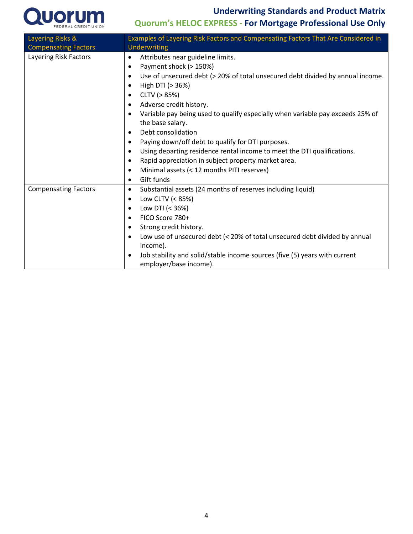**Underwriting Standards and Product Matrix** 



## **Quorum's HELOC EXPRESS - For Mortgage Professional Use Only**

| Layering Risks &            | Examples of Layering Risk Factors and Compensating Factors That Are Considered in                                                                                                                                                                                                                                                                                                                                                                                                                                                                                                                                                                             |  |  |  |  |
|-----------------------------|---------------------------------------------------------------------------------------------------------------------------------------------------------------------------------------------------------------------------------------------------------------------------------------------------------------------------------------------------------------------------------------------------------------------------------------------------------------------------------------------------------------------------------------------------------------------------------------------------------------------------------------------------------------|--|--|--|--|
| <b>Compensating Factors</b> | Underwriting                                                                                                                                                                                                                                                                                                                                                                                                                                                                                                                                                                                                                                                  |  |  |  |  |
| Layering Risk Factors       | Attributes near guideline limits.<br>$\bullet$<br>Payment shock (> 150%)<br>٠<br>Use of unsecured debt (> 20% of total unsecured debt divided by annual income.<br>٠<br>High DTI (> 36%)<br>٠<br>CLTV (> 85%)<br>٠<br>Adverse credit history.<br>Variable pay being used to qualify especially when variable pay exceeds 25% of<br>٠<br>the base salary.<br>Debt consolidation<br>$\bullet$<br>Paying down/off debt to qualify for DTI purposes.<br>٠<br>Using departing residence rental income to meet the DTI qualifications.<br>٠<br>Rapid appreciation in subject property market area.<br>Minimal assets (< 12 months PITI reserves)<br>Gift funds<br>٠ |  |  |  |  |
| <b>Compensating Factors</b> | Substantial assets (24 months of reserves including liquid)<br>٠<br>Low CLTV (< 85%)<br>٠<br>Low DTI $(< 36\%)$<br>٠<br>FICO Score 780+<br>٠<br>Strong credit history.<br>٠<br>Low use of unsecured debt (< 20% of total unsecured debt divided by annual<br>$\bullet$<br>income).<br>Job stability and solid/stable income sources (five (5) years with current<br>$\bullet$<br>employer/base income).                                                                                                                                                                                                                                                       |  |  |  |  |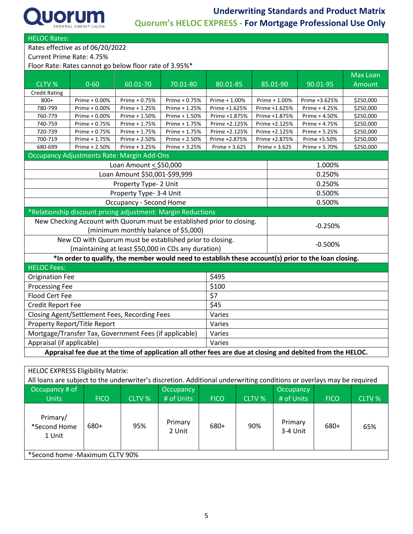

HELOC Rates:

Rates effective as of 06/20/2022

Current Prime Rate: 4.75%

Floor Rate: Rates cannot go below floor rate of 3.95%\*

|                                                                                                                                                             |                                                              |                               |               |               |               |               |               | <b>Max Loan</b> |
|-------------------------------------------------------------------------------------------------------------------------------------------------------------|--------------------------------------------------------------|-------------------------------|---------------|---------------|---------------|---------------|---------------|-----------------|
| CLTV %                                                                                                                                                      | $0 - 60$                                                     | 60.01-70                      | 70.01-80      | 80.01-85      |               | 85.01-90      | 90.01-95      | Amount          |
| <b>Credit Rating</b>                                                                                                                                        |                                                              |                               |               |               |               |               |               |                 |
| $800+$                                                                                                                                                      | Prime + 0.00%                                                | Prime + 0.75%                 | Prime + 0.75% | Prime + 1.00% |               | Prime + 1.00% | Prime +3.625% | \$250,000       |
| 780-799                                                                                                                                                     | Prime + 0.00%                                                | Prime + 1.25%                 | Prime + 1.25% | Prime +1.625% |               | Prime +1.625% | Prime + 4.25% | \$250,000       |
| 760-779                                                                                                                                                     | Prime + 0.00%                                                | Prime + 1.50%                 | Prime + 1.50% | Prime +1.875% |               | Prime +1.875% | Prime + 4.50% | \$250,000       |
| 740-759                                                                                                                                                     | Prime + 0.75%                                                | Prime + 1.75%                 | Prime + 1.75% | Prime +2.125% |               | Prime +2.125% | Prime + 4.75% | \$250,000       |
| 720-739                                                                                                                                                     | Prime + 0.75%                                                | Prime + 1.75%                 | Prime + 1.75% | Prime +2.125% |               | Prime +2.125% | Prime + 5.25% | \$250,000       |
| 700-719                                                                                                                                                     | Prime + 1.75%                                                | Prime + 2.50%                 | Prime + 2.50% | Prime +2.875% |               | Prime +2.875% | Prime +5.50%  | \$250,000       |
| 680-699                                                                                                                                                     | Prime + 2.50%                                                | Prime + 3.25%                 | Prime + 3.25% | Prime + 3.625 | Prime + 3.625 |               | Prime + 5.70% | \$250,000       |
|                                                                                                                                                             | <b>Occupancy Adjustments Rate: Margin Add-Ons</b>            |                               |               |               |               |               |               |                 |
|                                                                                                                                                             |                                                              | Loan Amount $\le$ \$50,000    |               |               |               |               | 1.000%        |                 |
|                                                                                                                                                             |                                                              | Loan Amount \$50,001-\$99,999 |               |               |               |               | 0.250%        |                 |
|                                                                                                                                                             |                                                              | Property Type- 2 Unit         |               |               |               |               | 0.250%        |                 |
| Property Type- 3-4 Unit                                                                                                                                     |                                                              |                               |               |               |               | 0.500%        |               |                 |
| <b>Occupancy - Second Home</b>                                                                                                                              |                                                              |                               |               |               |               | 0.500%        |               |                 |
|                                                                                                                                                             | *Relationship discount pricing adjustment: Margin Reductions |                               |               |               |               |               |               |                 |
| New Checking Account with Quorum must be established prior to closing.                                                                                      |                                                              |                               |               |               |               |               | $-0.250%$     |                 |
| (minimum monthly balance of \$5,000)                                                                                                                        |                                                              |                               |               |               |               |               |               |                 |
|                                                                                                                                                             | New CD with Quorum must be established prior to closing.     |                               |               |               |               | $-0.500%$     |               |                 |
|                                                                                                                                                             |                                                              |                               |               |               |               |               |               |                 |
| (maintaining at least \$50,000 in CDs any duration)<br>*In order to qualify, the member would need to establish these account(s) prior to the loan closing. |                                                              |                               |               |               |               |               |               |                 |
| <b>HELOC Fees:</b>                                                                                                                                          |                                                              |                               |               |               |               |               |               |                 |
| <b>Origination Fee</b>                                                                                                                                      |                                                              |                               |               | \$495         |               |               |               |                 |
| <b>Processing Fee</b>                                                                                                                                       |                                                              |                               |               | \$100         |               |               |               |                 |
| <b>Flood Cert Fee</b>                                                                                                                                       | \$7                                                          |                               |               |               |               |               |               |                 |
| Credit Report Fee                                                                                                                                           |                                                              |                               |               | \$45          |               |               |               |                 |
| Closing Agent/Settlement Fees, Recording Fees                                                                                                               |                                                              |                               |               | Varies        |               |               |               |                 |
| Property Report/Title Report                                                                                                                                |                                                              |                               |               | Varies        |               |               |               |                 |
| Mortgage/Transfer Tax, Government Fees (if applicable)                                                                                                      |                                                              |                               |               | Varies        |               |               |               |                 |
| Appraisal (if applicable)                                                                                                                                   | Varies                                                       |                               |               |               |               |               |               |                 |
| Appraisal fee due at the time of application all other fees are due at closing and debited from the HELOC.                                                  |                                                              |                               |               |               |               |               |               |                 |

| <b>HELOC EXPRESS Eligibility Matrix:</b>                                                                              |             |        |                   |             |               |                     |             |               |
|-----------------------------------------------------------------------------------------------------------------------|-------------|--------|-------------------|-------------|---------------|---------------------|-------------|---------------|
| All loans are subject to the underwriter's discretion. Additional underwriting conditions or overlays may be required |             |        |                   |             |               |                     |             |               |
| Occupancy # of                                                                                                        |             |        | <b>Occupancy</b>  |             |               | Occupancy           |             |               |
| <b>Units</b>                                                                                                          | <b>FICO</b> | CLTV % | # of Units        | <b>FICO</b> | <b>CLTV %</b> | # of Units          | <b>FICO</b> | <b>CLTV %</b> |
| Primary/<br>*Second Home<br>1 Unit                                                                                    | 680+        | 95%    | Primary<br>2 Unit | 680+        | 90%           | Primary<br>3-4 Unit | 680+        | 65%           |
| *Second home -Maximum CLTV 90%                                                                                        |             |        |                   |             |               |                     |             |               |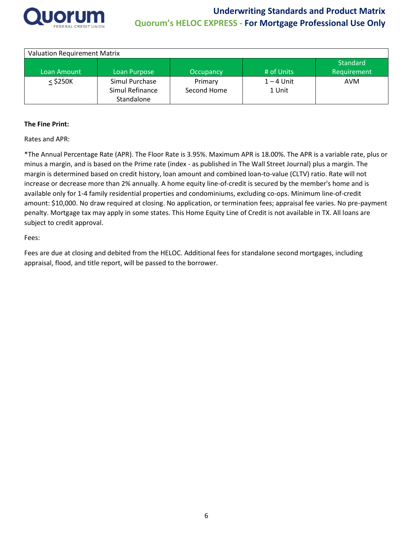

| <b>Valuation Requirement Matrix</b> |                 |             |              |             |  |  |  |
|-------------------------------------|-----------------|-------------|--------------|-------------|--|--|--|
|                                     |                 |             |              | Standard    |  |  |  |
| Loan Amount                         | Loan Purpose    | Occupancy   | # of Units   | Requirement |  |  |  |
| $<$ \$250K                          | Simul Purchase  | Primary     | $1 - 4$ Unit | AVM         |  |  |  |
|                                     | Simul Refinance | Second Home | 1 Unit       |             |  |  |  |
|                                     | Standalone      |             |              |             |  |  |  |

#### **The Fine Print:**

Rates and APR:

\*The Annual Percentage Rate (APR). The Floor Rate is 3.95%. Maximum APR is 18.00%. The APR is a variable rate, plus or minus a margin, and is based on the Prime rate (index - as published in The Wall Street Journal) plus a margin. The margin is determined based on credit history, loan amount and combined loan-to-value (CLTV) ratio. Rate will not increase or decrease more than 2% annually. A home equity line-of-credit is secured by the member's home and is available only for 1-4 family residential properties and condominiums, excluding co-ops. Minimum line-of-credit amount: \$10,000. No draw required at closing. No application, or termination fees; appraisal fee varies. No pre-payment penalty. Mortgage tax may apply in some states. This Home Equity Line of Credit is not available in TX. All loans are subject to credit approval.

Fees:

Fees are due at closing and debited from the HELOC. Additional fees for standalone second mortgages, including appraisal, flood, and title report, will be passed to the borrower.